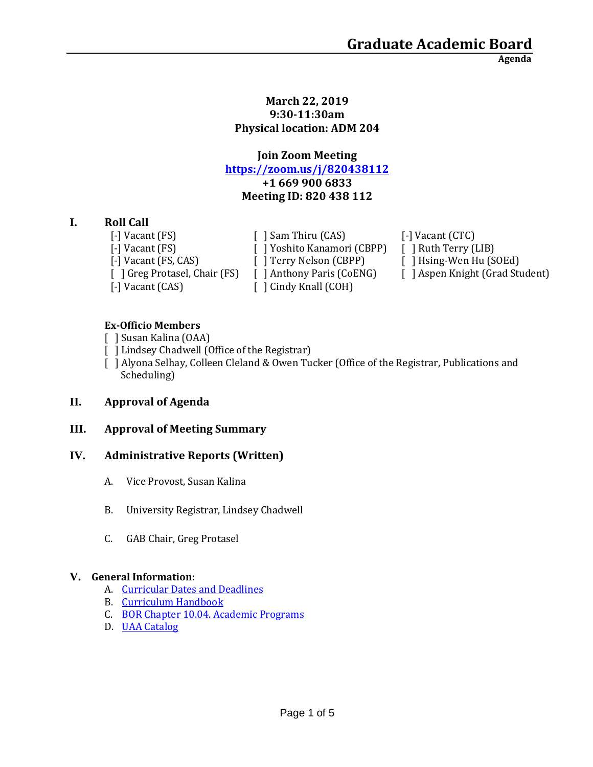**Agenda**

#### **March 22, 2019 9:30-11:30am Physical location: ADM 204**

## **Join Zoom Meeting <https://zoom.us/j/820438112> +1 669 900 6833 Meeting ID: 820 438 112**

## **I. Roll Call**

[-] Vacant (FS)  $\left[ \begin{array}{ccc} \end{array} \right]$  Sam Thiru (CAS)  $\left[ \begin{array}{ccc} - \end{array} \right]$  Vacant (CTC) [-] Vacant (CAS) [ ] Cindy Knall (COH)

[-] Vacant (FS) [ ] Yoshito Kanamori (CBPP) [ ] Ruth Terry (LIB) [-] Vacant (FS, CAS) [ ] Terry Nelson (CBPP) [ ] Hsing-Wen Hu (SOEd)

[ ] Greg Protasel, Chair (FS) [ ] Anthony Paris (CoENG) [ ] Aspen Knight (Grad Student)

### **Ex-Officio Members**

- [ ] Susan Kalina (OAA)
- [ ] Lindsey Chadwell (Office of the Registrar)
- [ ] Alyona Selhay, Colleen Cleland & Owen Tucker (Office of the Registrar, Publications and Scheduling)

## **II. Approval of Agenda**

### **III. Approval of Meeting Summary**

### **IV. Administrative Reports (Written)**

- A. Vice Provost, Susan Kalina
- B. University Registrar, Lindsey Chadwell
- C. GAB Chair, Greg Protasel

### **V. General Information:**

- A. [Curricular Dates and Deadlines](https://www.uaa.alaska.edu/academics/office-of-academic-affairs/dates-and-deadlines.cshtml)
- B. [Curriculum Handbook](https://www.uaa.alaska.edu/academics/office-of-academic-affairs/curriculum/_documents/Curriculum%20Handbook%202-9-18.pdf)
- C. [BOR Chapter 10.04. Academic Programs](https://www.alaska.edu/bor/policy/10-04.pdf)
- D. [UAA Catalog](https://www.uaa.alaska.edu/students/registrar/catalogs/index.cshtml)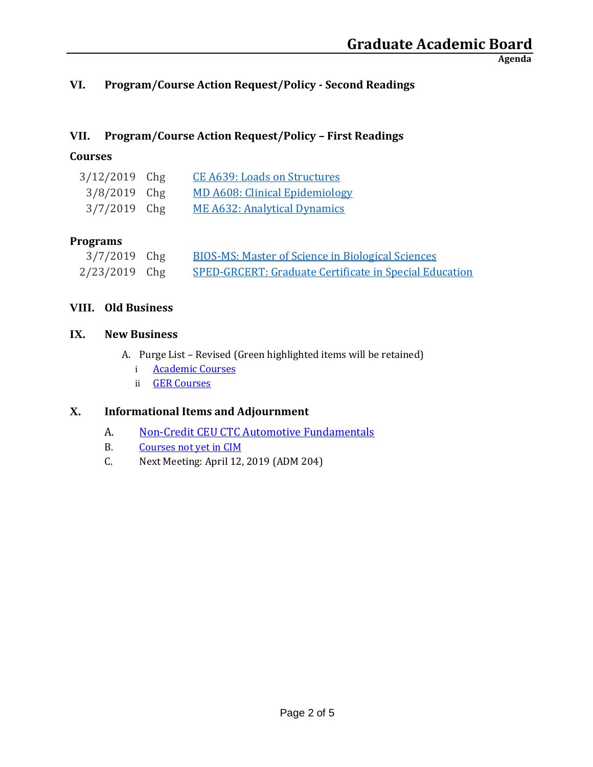**Agenda**

## **VI. Program/Course Action Request/Policy - Second Readings**

## **VII. Program/Course Action Request/Policy – First Readings**

## **Courses**

| 3/12/2019 Chg  | <b>CE A639: Loads on Structures</b>   |
|----------------|---------------------------------------|
| $3/8/2019$ Chg | <b>MD A608: Clinical Epidemiology</b> |
| $3/7/2019$ Chg | <b>ME A632: Analytical Dynamics</b>   |

### **Programs**

| $3/7/2019$ Chg  | <b>BIOS-MS: Master of Science in Biological Sciences</b>      |
|-----------------|---------------------------------------------------------------|
| $2/23/2019$ Chg | <b>SPED-GRCERT: Graduate Certificate in Special Education</b> |

### **VIII. Old Business**

### **IX. New Business**

- A. Purge List Revised (Green highlighted items will be retained)
	- i **[Academic Courses](https://drive.google.com/file/d/1GdhW6eMrZZl5E1yvE57S50kmT1w77SV6/view?usp=sharing)**
	- ii [GER Courses](https://drive.google.com/file/d/1TvtvRdyqcoZF9oKEPHgjFrGC178dVoiF/view?usp=sharing)

## **X. Informational Items and Adjournment**

- A. [Non-Credit CEU CTC Automotive Fundamentals](https://drive.google.com/file/d/1i9LflUXiYFOQHMltEwahjF0rph3vhBcf/view?usp=sharing)
- B. [Courses not yet in CIM](https://drive.google.com/file/d/0B_kfzxlMcO5ZdTlRWkhQM1RSUERmYWx3dEh2U3g2LThaS0dj/view?usp=sharing)
- C. Next Meeting: April 12, 2019 (ADM 204)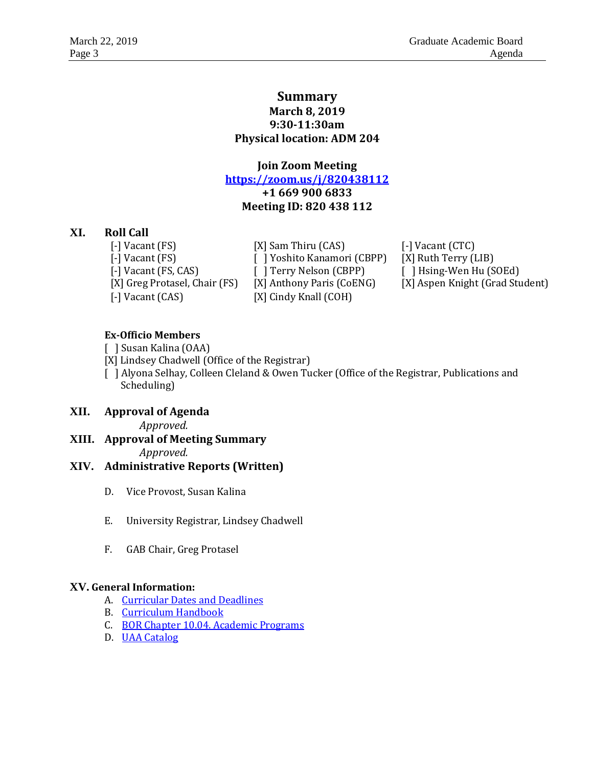### **Summary March 8, 2019 9:30-11:30am Physical location: ADM 204**

**Join Zoom Meeting <https://zoom.us/j/820438112> +1 669 900 6833 Meeting ID: 820 438 112**

### **XI. Roll Call**

[-] Vacant (FS) [X] Sam Thiru (CAS) [-] Vacant (CTC) [-] Vacant (CAS) [X] Cindy Knall (COH)

[-] Vacant (FS) [ ] Yoshito Kanamori (CBPP) [X] Ruth Terry (LIB) [-] Vacant (FS, CAS) [ ] Terry Nelson (CBPP) [ ] Hsing-Wen Hu (SOEd)

[X] Greg Protasel, Chair (FS) [X] Anthony Paris (CoENG) [X] Aspen Knight (Grad Student)

#### **Ex-Officio Members**

[ ] Susan Kalina (OAA)

[X] Lindsey Chadwell (Office of the Registrar)

[ ] Alyona Selhay, Colleen Cleland & Owen Tucker (Office of the Registrar, Publications and Scheduling)

### **XII. Approval of Agenda**

*Approved.* 

**XIII. Approval of Meeting Summary** *Approved.* 

### **XIV. Administrative Reports (Written)**

- D. Vice Provost, Susan Kalina
- E. University Registrar, Lindsey Chadwell
- F. GAB Chair, Greg Protasel

#### **XV. General Information:**

- A. [Curricular Dates and Deadlines](https://www.uaa.alaska.edu/academics/office-of-academic-affairs/dates-and-deadlines.cshtml)
- B. [Curriculum Handbook](https://www.uaa.alaska.edu/academics/office-of-academic-affairs/curriculum/_documents/Curriculum%20Handbook%202-9-18.pdf)
- C. [BOR Chapter 10.04. Academic Programs](https://www.alaska.edu/bor/policy/10-04.pdf)
- D. [UAA Catalog](https://www.uaa.alaska.edu/students/registrar/catalogs/index.cshtml)